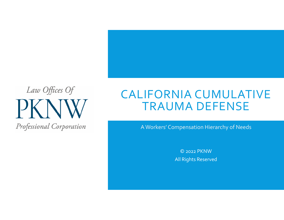

# CALIFORNIA CUMULATIVE TRAUMA DEFENSE

A Workers' Compensation Hierarchy of Needs

© <sup>2022</sup> PKNWAll Rights Reserved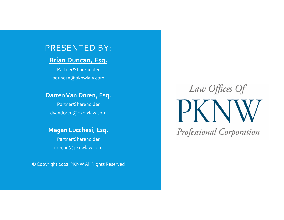#### PRESENTED BY:

#### **Brian Duncan, Esq.**

Partner/Shareholder bduncan@pknwlaw.com

#### **DarrenVan Doren, Esq.**

Partner/Shareholder dvandoren@pknwlaw.com

#### **Megan Lucchesi, Esq.**

Partner/Shareholder megan@pknwlaw.com

© Copyright <sup>2022</sup> PKNW All Rights Reserved

# Law Offices Of  $\mathsf{P}\mathsf{K}$ Professional Corporation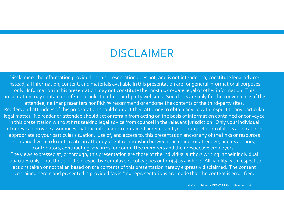### DISCLAIMER

Disclaimer: the information provided in this presentation does not, and is not intended to, constitute legal advice; instead, all information, content, and materials available in this presentation are for general informational purposes only. Information in this presentation may not constitute the most up-to-date legal or other information. This presentation may contain or reference links to other third‐party websites. Such links are only for the convenience of the attendee; neither presenters nor PKNW recommend or endorse the contents of the third-party sites. Readers and attendees of this presentation should contact their attorney to obtain advice with respec<sup>t</sup> to any particular legal matter. No reader or attendee should act or refrain from acting on the basis of information contained or conveyed in this presentation without first seeking legal advice from counsel in the relevant jurisdiction. Only your individual attorney can provide assurances that the information contained herein – and your interpretation of it – is applicable or appropriate to your particular situation. Use of, and access to, this presentation and/or any of the links or resources contained within do not create an attorney‐client relationship between the reader or attendee, and its authors, contributors, contributing law firms, or committee members and their respective employers. The views expressed at, or through, this presentation are those of the individual authors writing in their individual capacities only – not those of their respective employers, colleagues or firm(s) as <sup>a</sup> whole. All liability with respec<sup>t</sup> to actions taken or not taken based on the contents of this presentation hereby expressly disclaimed. The content contained herein and presented is provided "as is;" no representations are made that the content is error‐free.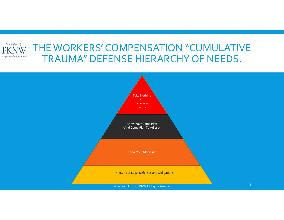

#### THE WORKERS' COMPENSATION "CUMULATIVE TRAUMA" DEFENSE HIERARCHY OF NEEDS.

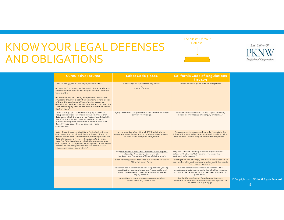### KNOWYOUR LEGAL DEFENSES AND OBLIGATIONS





| <b>Cumulative Trauma</b>                                                                                                                                                                                                                                                                                                                                                                                                                                                                           | Labor Code § 5402                                                                                                                                                                 | <b>California Code of Regulations</b><br>\$10109                                                                                                                   |
|----------------------------------------------------------------------------------------------------------------------------------------------------------------------------------------------------------------------------------------------------------------------------------------------------------------------------------------------------------------------------------------------------------------------------------------------------------------------------------------------------|-----------------------------------------------------------------------------------------------------------------------------------------------------------------------------------|--------------------------------------------------------------------------------------------------------------------------------------------------------------------|
| Labor Code § 3201.1: "An injury may be either:<br>(a) 'specific,' occurring as the result of one incident or<br>exposure which causes disability or need for medical<br>treatment; or<br>(b) 'cumulative,' occurring as repetitive mentally or<br>physically traumatic activities extending over a period<br>of time, the combined effect of which causes any<br>disability or need for medical treatment. The date of a<br>cumulative injury shall be the date determined under<br>Section 5412." | Knowledge of injury from any source<br>notice of injury.                                                                                                                          | Duty to conduct good faith investigations.                                                                                                                         |
| Labor Code § 5412: The date of injury in cases of<br>occupational diseases or cumulative injuries is that<br>date upon which the employee first suffered disability<br>therefrom and either knew, or in the exercise of<br>reasonable diligence should have known, that such<br>disability was caused by his present or prior<br>employment.                                                                                                                                                       | Injury presumed compensable if not denied within 90<br>days of knowledge.                                                                                                         | Must be "reasonable and timelyupon receiving<br>notice or knowledge of an injury or claim"                                                                         |
| Labor Code § 5500.5: Liability is " limited to those<br>employers who employed the employeeduring a<br>period of one yearimmediately preceding either the<br>date of injury, as determined pursuant to Section<br>5412," or "the last date on which the employee was<br>employed in an occupation exposing him or her to the<br>hazards of the occupational disease or cumulative<br>injury,whichever occurs first."                                                                               | 1 working day after filing of DWC-1 claim form<br>treatment must be authorized and paid up to \$10,000<br>or until claim accepted or rejected.                                    | Reasonable attempt must be made "to obtain the<br>information needed to determine and timely provide<br>each benefitwhich may be due to the employee"              |
|                                                                                                                                                                                                                                                                                                                                                                                                                                                                                                    | See Honeywell v. Workers' Compensation Appeals<br>Board 70 Cal. Comp. Cases 97, 98.<br>[90 days runs from date of filing of claim form].                                          | May not "restrict" investigation to "objections or<br>defenses" but must "fully and fairly gather the<br>pertinent information."                                   |
|                                                                                                                                                                                                                                                                                                                                                                                                                                                                                                    | Both "investigation" deadlines run from "the date of<br>filling" of claim form.                                                                                                   | Investigation "must supply the information needed to<br>provide benefits and to document for audit thebasis<br>forclaims decisions."                               |
|                                                                                                                                                                                                                                                                                                                                                                                                                                                                                                    | However, see California Code of Regulations § 10109.<br>Investigation appears to require "reasonable and<br>timely" investigation upon receiving notice of an<br>injury or claim. | Claims administrator "must documentthe<br>investigatory actsdocumentation shall be retained<br>in claims fileadministrators shall deal fairly and in<br>good faith |
|                                                                                                                                                                                                                                                                                                                                                                                                                                                                                                    | Immediate investigations are recommended.<br>"When in doubt, check it out!"                                                                                                       | See California Code of Regulations § 10111.1.<br>Schedule of Administrative Penalties for Injuries On<br>or After January 1, 1994.                                 |

Rights Reserved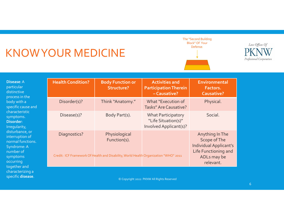# KNOWYOUR MEDICINE

characterizing <sup>a</sup> specific **disease**.





| Disease: A<br>particular<br>distinctive<br>process in the<br>body with a<br>specific cause and<br>characteristic<br>symptoms.<br><b>Disorder:</b><br>Irregularity,<br>disturbance, or<br>interruption of<br>normal functions.<br>Syndrome: A<br>number of<br>symptoms<br>occurring<br>together and | <b>Health Condition?</b> | <b>Body Function or</b><br><b>Structure?</b>                                                                          | <b>Activities and</b><br><b>Participation Therein</b><br>-Causative?       | Environmental<br>Factors.<br><b>Causative?</b>                                                                       |
|----------------------------------------------------------------------------------------------------------------------------------------------------------------------------------------------------------------------------------------------------------------------------------------------------|--------------------------|-----------------------------------------------------------------------------------------------------------------------|----------------------------------------------------------------------------|----------------------------------------------------------------------------------------------------------------------|
|                                                                                                                                                                                                                                                                                                    | Disorder(s)?             | Think "Anatomy."                                                                                                      | What "Execution of<br><b>Tasks" Are Causative?</b>                         | Physical.                                                                                                            |
|                                                                                                                                                                                                                                                                                                    | Disease(s)?              | Body Part(s).                                                                                                         | <b>What Participatory</b><br>"Life Situation(s)"<br>Involved Applicant(s)? | Social.                                                                                                              |
|                                                                                                                                                                                                                                                                                                    | Diagnostics?             | Physiological<br>Function(s).<br>Credit: ICF Framework Of Health and Disability, World Health Organization "WHO" 2011 |                                                                            | Anything In The<br>Scope of The<br><b>Individual Applicant's</b><br>Life Functioning and<br>ADLs may be<br>relevant. |

© Copyright <sup>2022</sup> PKNW All Rights Reserved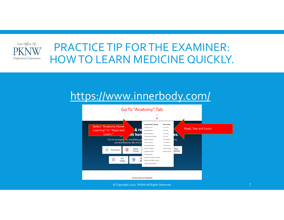

### PRACTICETIP FORTHE EXAMINER: HOWTO LEARN MEDICINE QUICKLY.

#### https://www.innerbody.com/



 $\circledcirc$  Copyright 2022 PKNW All Rights Reserved  $7$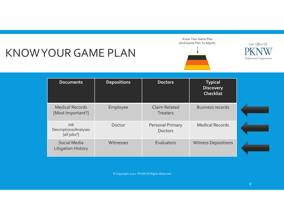# KNOWYOURGAME PLAN





Law Offices Of Professional Corporation

| <b>Documents</b>                            | <b>Depositions</b> | <b>Doctors</b>                          | <b>Typical</b><br><b>Discovery</b><br><b>Checklist</b> |  |
|---------------------------------------------|--------------------|-----------------------------------------|--------------------------------------------------------|--|
| <b>Medical Records</b><br>[Most Important?] | Employee           | <b>Claim Related</b><br><b>Treaters</b> | <b>Business records</b>                                |  |
| Job<br>Descriptions/Analyses<br>[all jobs?] | Doctor             | Personal Primary<br><b>Doctors</b>      | <b>Medical Records</b>                                 |  |
| Social Media<br><b>Litigation History</b>   | Witnesses          | Evaluators                              | <b>Witness Depositions</b>                             |  |

© Copyright <sup>2022</sup> PKNW All Rights Reserved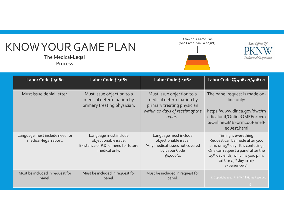# KNOWYOURGAME PLAN

The Medical‐Legal Process

Know Your Game Plan (And Game Plan To Adjust).





| Labor Code § 4060                                       | Labor Code § 4061                                                                                      | Labor Code § 4062                                                                                                                  | Labor Code SS 4062.1/4061.2                                                                                                                                                                                                                            |
|---------------------------------------------------------|--------------------------------------------------------------------------------------------------------|------------------------------------------------------------------------------------------------------------------------------------|--------------------------------------------------------------------------------------------------------------------------------------------------------------------------------------------------------------------------------------------------------|
| Must issue denial letter.                               | Must issue objection to a<br>medical determination by<br>primary treating physician.                   | Must issue objection to a<br>medical determination by<br>primary treating physician<br>within 20 days of receipt of the<br>report. | The panel request is made on-<br>line only:<br>https://www.dir.ca.gov/dwc/m<br>edicalunit/OnlineQMEForm10<br>6/OnlineQMEForm106PanelR<br>equest.html                                                                                                   |
| Language must include need for<br>medical-legal report. | Language must include<br>objectionable issue.<br>Existence of P.D. or need for future<br>medical only. | Language must include<br>objectionable issue.<br>"Any medical issues not covered<br>by Labor Code<br>\$4060/2.                     | Timing is everything.<br>Request can be made after 5:00<br>p.m. on 15 <sup>th</sup> day. It is confusing.<br>One can request a panel after the<br>15 <sup>th</sup> day ends, which is 5:00 p.m.<br>on the 15 <sup>th</sup> day in my<br>experience(s). |
| Must be included in request for<br>panel.               | Must be included in request for<br>panel.                                                              | Must be included in request for<br>panel.                                                                                          | © Copyright 2022 PKNW All Rights Reserved                                                                                                                                                                                                              |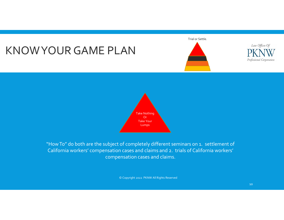### KNOWYOURGAME PLAN

Trial or Settle.







"HowTo" do both are the subject of completely different seminars on 1. settlement of California workers' compensation cases and claims and 2. trials of California workers' compensation cases and claims.

© Copyright <sup>2022</sup> PKNW All Rights Reserved